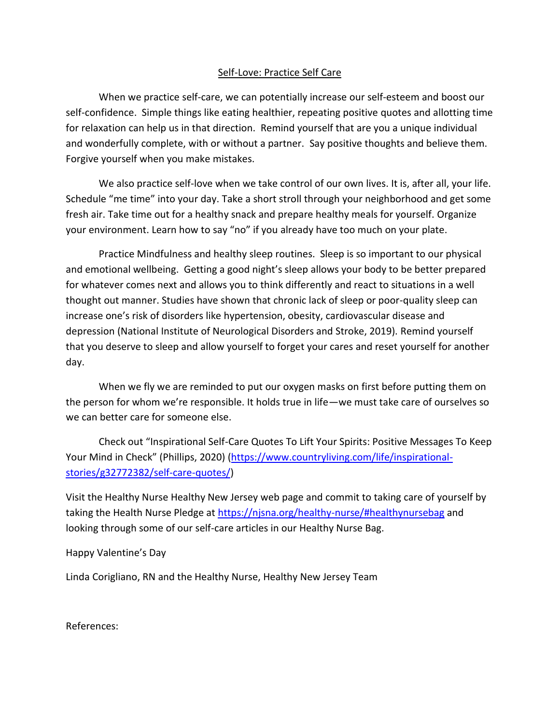## Self-Love: Practice Self Care

When we practice self-care, we can potentially increase our self-esteem and boost our self-confidence. Simple things like eating healthier, repeating positive quotes and allotting time for relaxation can help us in that direction. Remind yourself that are you a unique individual and wonderfully complete, with or without a partner. Say positive thoughts and believe them. Forgive yourself when you make mistakes.

We also practice self-love when we take control of our own lives. It is, after all, your life. Schedule "me time" into your day. Take a short stroll through your neighborhood and get some fresh air. Take time out for a healthy snack and prepare healthy meals for yourself. Organize your environment. Learn how to say "no" if you already have too much on your plate.

Practice Mindfulness and healthy sleep routines. Sleep is so important to our physical and emotional wellbeing. Getting a good night's sleep allows your body to be better prepared for whatever comes next and allows you to think differently and react to situations in a well thought out manner. Studies have shown that chronic lack of sleep or poor-quality sleep can increase one's risk of disorders like hypertension, obesity, cardiovascular disease and depression (National Institute of Neurological Disorders and Stroke, 2019). Remind yourself that you deserve to sleep and allow yourself to forget your cares and reset yourself for another day.

When we fly we are reminded to put our oxygen masks on first before putting them on the person for whom we're responsible. It holds true in life—we must take care of ourselves so we can better care for someone else.

Check out "Inspirational Self-Care Quotes To Lift Your Spirits: Positive Messages To Keep Your Mind in Check" (Phillips, 2020) [\(https://www.countryliving.com/life/inspirational](https://www.countryliving.com/life/inspirational-stories/g32772382/self-care-quotes/)[stories/g32772382/self-care-quotes/\)](https://www.countryliving.com/life/inspirational-stories/g32772382/self-care-quotes/)

Visit the Healthy Nurse Healthy New Jersey web page and commit to taking care of yourself by taking the Health Nurse Pledge at<https://njsna.org/healthy-nurse/#healthynursebag> and looking through some of our self-care articles in our Healthy Nurse Bag.

Happy Valentine's Day

Linda Corigliano, RN and the Healthy Nurse, Healthy New Jersey Team

References: